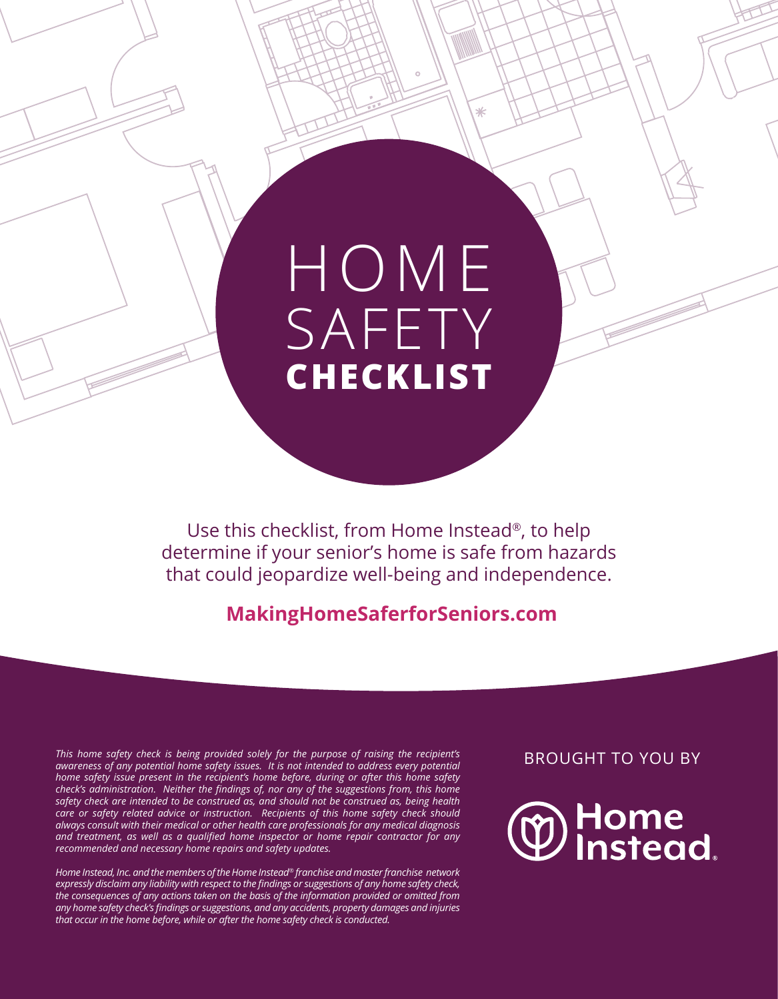# HOME SAFETY **CHECKLIST**

⋇

Use this checklist, from Home Instead®, to help determine if your senior's home is safe from hazards that could jeopardize well-being and independence.

#### **MakingHomeSaferforSeniors.com**

*This home safety check is being provided solely for the purpose of raising the recipient's awareness of any potential home safety issues. It is not intended to address every potential home safety issue present in the recipient's home before, during or after this home safety check's administration. Neither the findings of, nor any of the suggestions from, this home safety check are intended to be construed as, and should not be construed as, being health care or safety related advice or instruction. Recipients of this home safety check should always consult with their medical or other health care professionals for any medical diagnosis and treatment, as well as a qualified home inspector or home repair contractor for any recommended and necessary home repairs and safety updates.* 

*Home Instead, Inc. and the members of the Home Instead® franchise and master franchise network expressly disclaim any liability with respect to the findings or suggestions of any home safety check, the consequences of any actions taken on the basis of the information provided or omitted from any home safety check's findings or suggestions, and any accidents, property damages and injuries that occur in the home before, while or after the home safety check is conducted.*

BROUGHT TO YOU BY

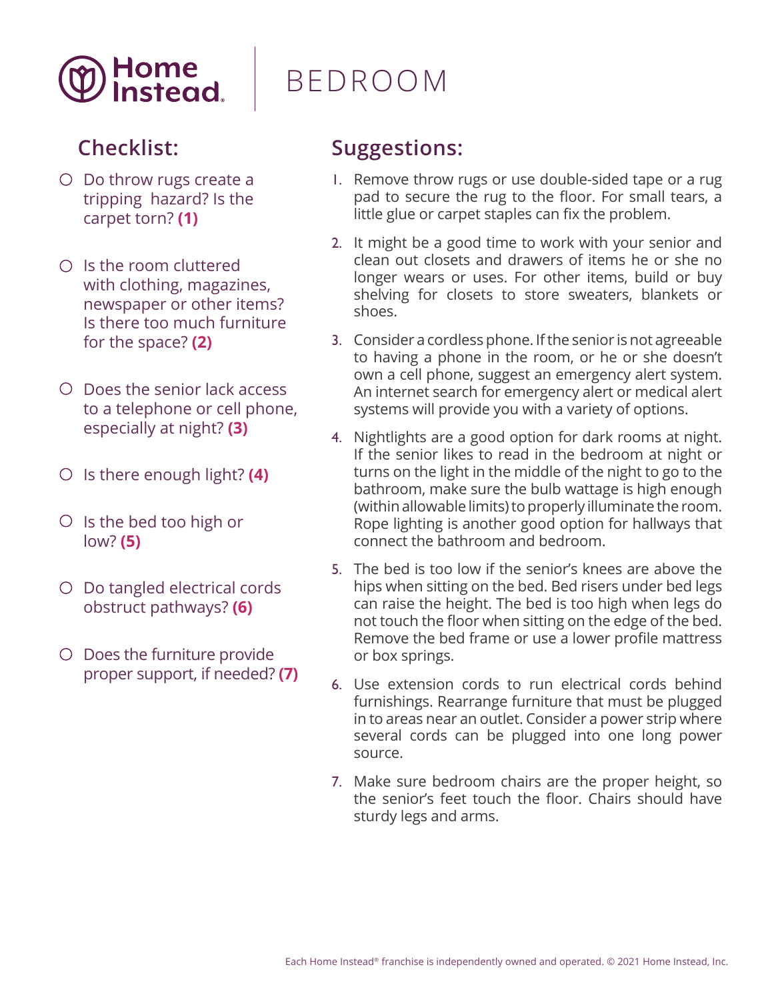

- O Do throw rugs create a tripping hazard? Is the carpet torn? **(1)**
- $\bigcirc$  Is the room cluttered with clothing, magazines, newspaper or other items? Is there too much furniture for the space? **(2)**
- Does the senior lack access to a telephone or cell phone, especially at night? **(3)**
- Is there enough light? **(4)**
- O Is the bed too high or low? **(5)**
- O Do tangled electrical cords obstruct pathways? **(6)**
- O Does the furniture provide proper support, if needed? **(7)**

### BEDROOM

- 1. Remove throw rugs or use double-sided tape or a rug pad to secure the rug to the floor. For small tears, a little glue or carpet staples can fix the problem.
- 2. It might be a good time to work with your senior and clean out closets and drawers of items he or she no longer wears or uses. For other items, build or buy shelving for closets to store sweaters, blankets or shoes.
- 3. Consider a cordless phone. If the senior is not agreeable to having a phone in the room, or he or she doesn't own a cell phone, suggest an emergency alert system. An internet search for emergency alert or medical alert systems will provide you with a variety of options.
- 4. Nightlights are a good option for dark rooms at night. If the senior likes to read in the bedroom at night or turns on the light in the middle of the night to go to the bathroom, make sure the bulb wattage is high enough (within allowable limits) to properly illuminate the room. Rope lighting is another good option for hallways that connect the bathroom and bedroom.
- 5. The bed is too low if the senior's knees are above the hips when sitting on the bed. Bed risers under bed legs can raise the height. The bed is too high when legs do not touch the floor when sitting on the edge of the bed. Remove the bed frame or use a lower profile mattress or box springs.
- 6. Use extension cords to run electrical cords behind furnishings. Rearrange furniture that must be plugged in to areas near an outlet. Consider a power strip where several cords can be plugged into one long power source.
- 7. Make sure bedroom chairs are the proper height, so the senior's feet touch the floor. Chairs should have sturdy legs and arms.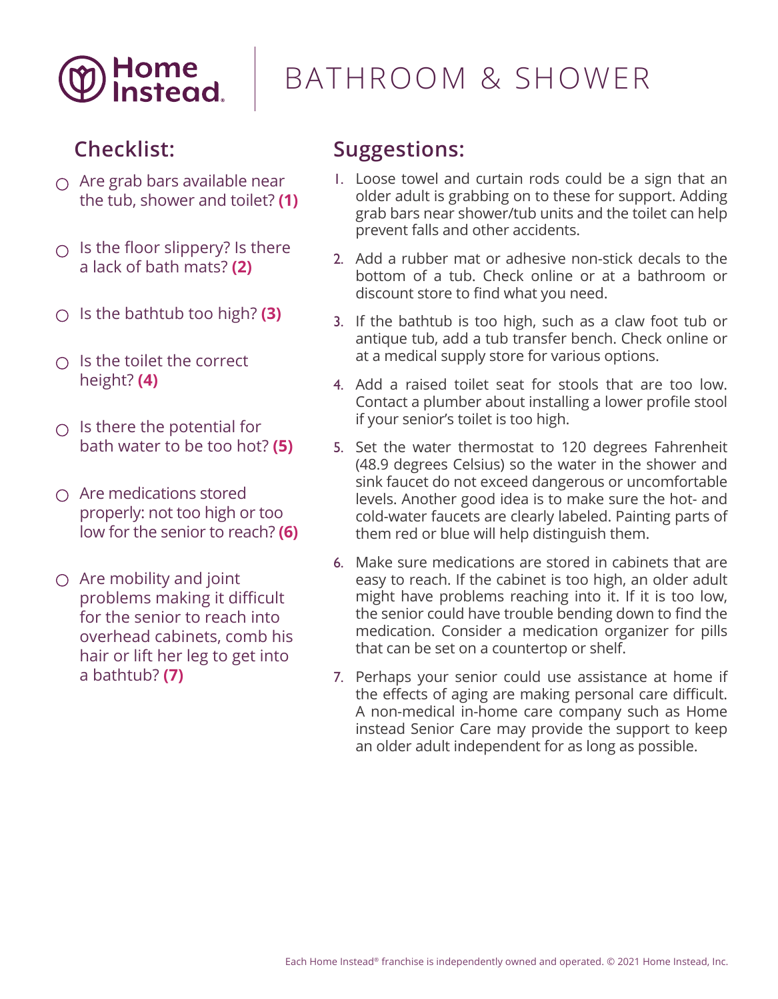

### BATHROOM & SHOWER

#### **Checklist:**

- $\bigcap$  Are grab bars available near the tub, shower and toilet? **(1)**
- $\bigcirc$  Is the floor slippery? Is there a lack of bath mats? **(2)**
- Is the bathtub too high? **(3)**
- $\cap$  Is the toilet the correct height? **(4)**
- $\bigcirc$  Is there the potential for bath water to be too hot? **(5)**
- $\bigcap$  Are medications stored properly: not too high or too low for the senior to reach? **(6)**
- $\bigcirc$  Are mobility and joint problems making it difficult for the senior to reach into overhead cabinets, comb his hair or lift her leg to get into a bathtub? **(7)**

- 1. Loose towel and curtain rods could be a sign that an older adult is grabbing on to these for support. Adding grab bars near shower/tub units and the toilet can help prevent falls and other accidents.
- 2. Add a rubber mat or adhesive non-stick decals to the bottom of a tub. Check online or at a bathroom or discount store to find what you need.
- 3. If the bathtub is too high, such as a claw foot tub or antique tub, add a tub transfer bench. Check online or at a medical supply store for various options.
- 4. Add a raised toilet seat for stools that are too low. Contact a plumber about installing a lower profile stool if your senior's toilet is too high.
- 5. Set the water thermostat to 120 degrees Fahrenheit (48.9 degrees Celsius) so the water in the shower and sink faucet do not exceed dangerous or uncomfortable levels. Another good idea is to make sure the hot- and cold-water faucets are clearly labeled. Painting parts of them red or blue will help distinguish them.
- 6. Make sure medications are stored in cabinets that are easy to reach. If the cabinet is too high, an older adult might have problems reaching into it. If it is too low, the senior could have trouble bending down to find the medication. Consider a medication organizer for pills that can be set on a countertop or shelf.
- 7. Perhaps your senior could use assistance at home if the effects of aging are making personal care difficult. A non-medical in-home care company such as Home instead Senior Care may provide the support to keep an older adult independent for as long as possible.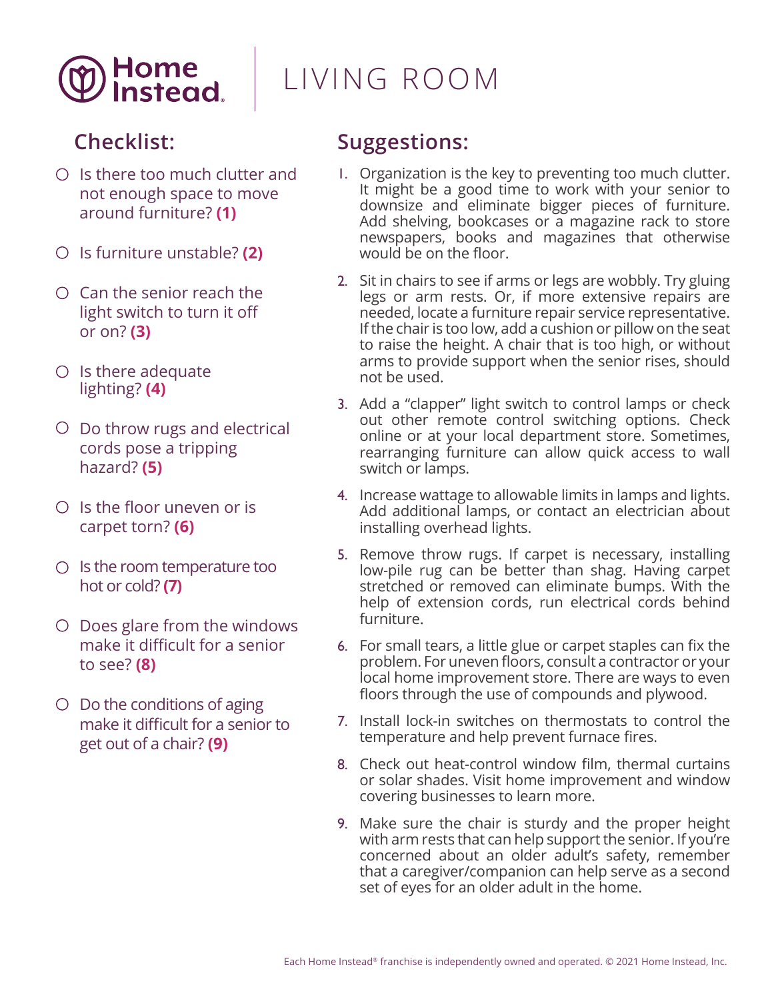

### LIVING ROOM

### **Checklist:**

- $O$  Is there too much clutter and not enough space to move around furniture? **(1)**
- Is furniture unstable? **(2)**
- $\circ$  Can the senior reach the light switch to turn it off or on? **(3)**
- $\circ$  Is there adequate lighting? **(4)**
- $\circ$  Do throw rugs and electrical cords pose a tripping hazard? **(5)**
- $O$  Is the floor uneven or is carpet torn? **(6)**
- $\circ$  Is the room temperature too hot or cold? **(7)**
- $\circ$  Does glare from the windows make it difficult for a senior to see? **(8)**
- $\circ$  Do the conditions of aging make it difficult for a senior to get out of a chair? **(9)**

- 1. Organization is the key to preventing too much clutter. It might be a good time to work with your senior to downsize and eliminate bigger pieces of furniture. Add shelving, bookcases or a magazine rack to store newspapers, books and magazines that otherwise would be on the floor.
- 2. Sit in chairs to see if arms or legs are wobbly. Try gluing legs or arm rests. Or, if more extensive repairs are needed, locate a furniture repair service representative. If the chair is too low, add a cushion or pillow on the seat to raise the height. A chair that is too high, or without arms to provide support when the senior rises, should not be used.
- 3. Add a "clapper" light switch to control lamps or check out other remote control switching options. Check online or at your local department store. Sometimes, rearranging furniture can allow quick access to wall switch or lamps.
- 4. Increase wattage to allowable limits in lamps and lights. Add additional lamps, or contact an electrician about installing overhead lights.
- 5. Remove throw rugs. If carpet is necessary, installing low-pile rug can be better than shag. Having carpet stretched or removed can eliminate bumps. With the help of extension cords, run electrical cords behind furniture.
- 6. For small tears, a little glue or carpet staples can fix the problem. For uneven floors, consult a contractor or your local home improvement store. There are ways to even floors through the use of compounds and plywood.
- 7. Install lock-in switches on thermostats to control the temperature and help prevent furnace fires.
- 8. Check out heat-control window film, thermal curtains or solar shades. Visit home improvement and window covering businesses to learn more.
- 9. Make sure the chair is sturdy and the proper height with arm rests that can help support the senior. If you're concerned about an older adult's safety, remember that a caregiver/companion can help serve as a second set of eyes for an older adult in the home.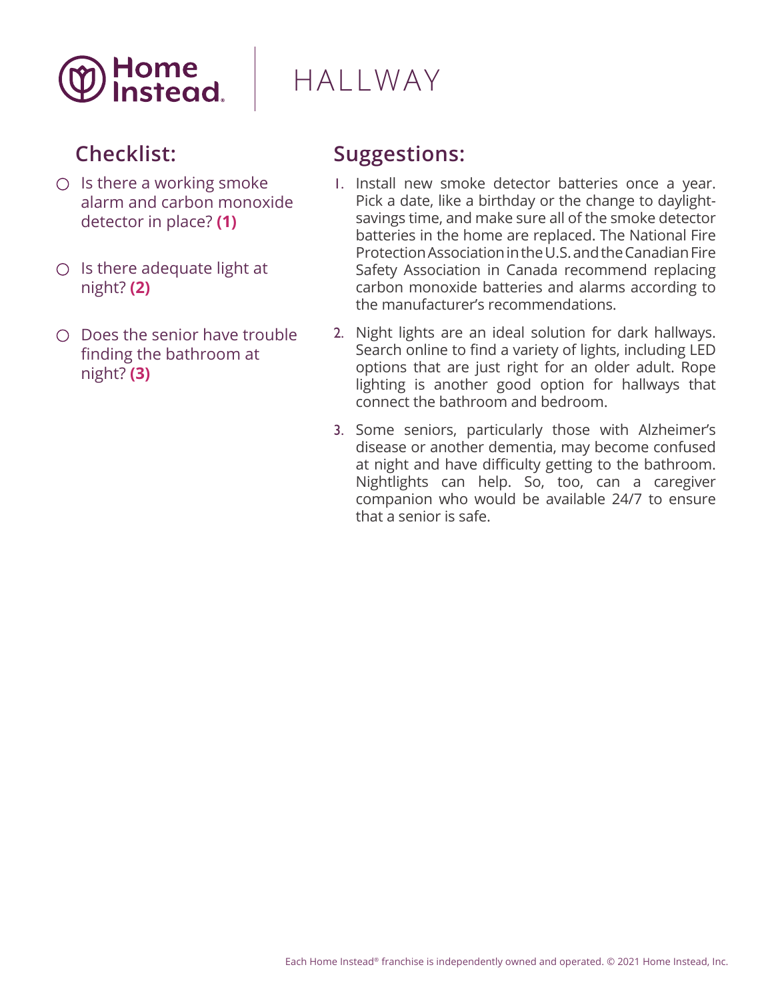

### HALLWAY

### **Checklist:**

- $\bigcirc$  Is there a working smoke alarm and carbon monoxide detector in place? **(1)**
- $O$  Is there adequate light at night? **(2)**
- $\bigcirc$  Does the senior have trouble finding the bathroom at night? **(3)**

- 1. Install new smoke detector batteries once a year. Pick a date, like a birthday or the change to daylightsavings time, and make sure all of the smoke detector batteries in the home are replaced. The National Fire Protection Association in the U.S. and the Canadian Fire Safety Association in Canada recommend replacing carbon monoxide batteries and alarms according to the manufacturer's recommendations.
- 2. Night lights are an ideal solution for dark hallways. Search online to find a variety of lights, including LED options that are just right for an older adult. Rope lighting is another good option for hallways that connect the bathroom and bedroom.
- 3. Some seniors, particularly those with Alzheimer's disease or another dementia, may become confused at night and have difficulty getting to the bathroom. Nightlights can help. So, too, can a caregiver companion who would be available 24/7 to ensure that a senior is safe.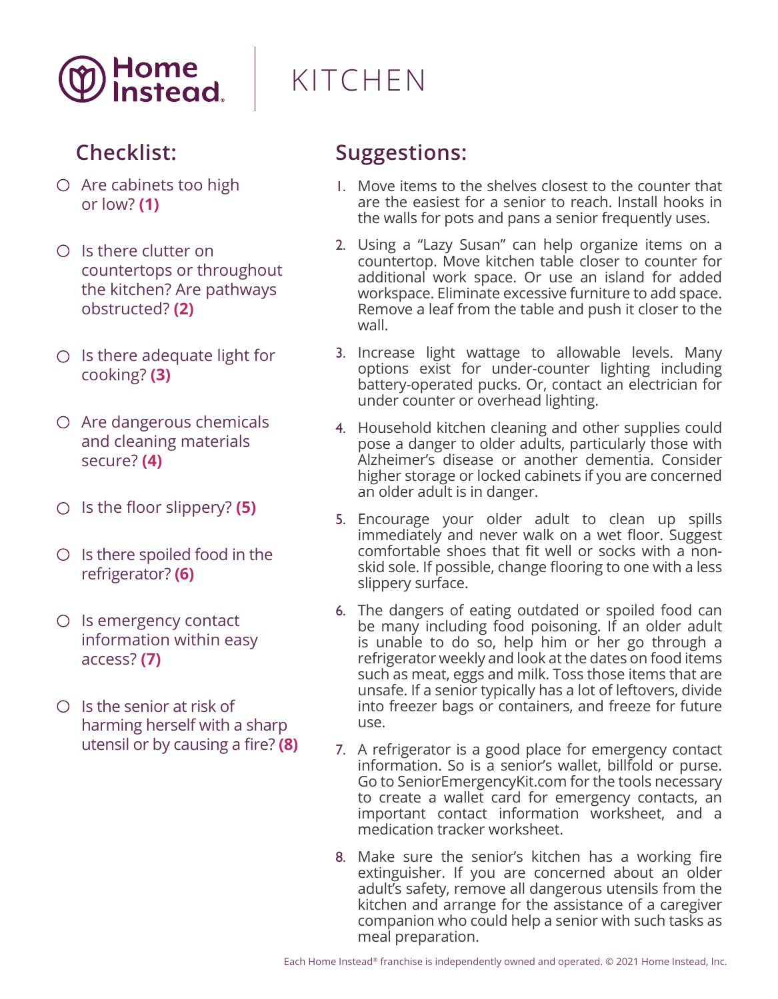

- $\bigcirc$  Are cabinets too high or low? **(1)**
- $O$  Is there clutter on countertops or throughout the kitchen? Are pathways obstructed? **(2)**
- $\circ$  Is there adequate light for cooking? **(3)**
- $\circ$  Are dangerous chemicals and cleaning materials secure? **(4)**
- Is the floor slippery? **(5)**
- $\circ$  Is there spoiled food in the refrigerator? **(6)**
- $\circ$  Is emergency contact information within easy access? **(7)**
- $\circ$  Is the senior at risk of harming herself with a sharp utensil or by causing a fire? **(8)**

# KITCHEN

- 1. Move items to the shelves closest to the counter that are the easiest for a senior to reach. Install hooks in the walls for pots and pans a senior frequently uses.
- 2. Using a "Lazy Susan" can help organize items on a countertop. Move kitchen table closer to counter for additional work space. Or use an island for added workspace. Eliminate excessive furniture to add space. Remove a leaf from the table and push it closer to the wall.
- 3. Increase light wattage to allowable levels. Many options exist for under-counter lighting including battery-operated pucks. Or, contact an electrician for under counter or overhead lighting.
- 4. Household kitchen cleaning and other supplies could pose a danger to older adults, particularly those with Alzheimer's disease or another dementia. Consider higher storage or locked cabinets if you are concerned an older adult is in danger.
- 5. Encourage your older adult to clean up spills immediately and never walk on a wet floor. Suggest comfortable shoes that fit well or socks with a nonskid sole. If possible, change flooring to one with a less slippery surface.
- 6. The dangers of eating outdated or spoiled food can be many including food poisoning. If an older adult is unable to do so, help him or her go through a refrigerator weekly and look at the dates on food items such as meat, eggs and milk. Toss those items that are unsafe. If a senior typically has a lot of leftovers, divide into freezer bags or containers, and freeze for future use.
- 7. A refrigerator is a good place for emergency contact information. So is a senior's wallet, billfold or purse. Go to SeniorEmergencyKit.com for the tools necessary to create a wallet card for emergency contacts, an important contact information worksheet, and a medication tracker worksheet.
- 8. Make sure the senior's kitchen has a working fire extinguisher. If you are concerned about an older adult's safety, remove all dangerous utensils from the kitchen and arrange for the assistance of a caregiver companion who could help a senior with such tasks as meal preparation.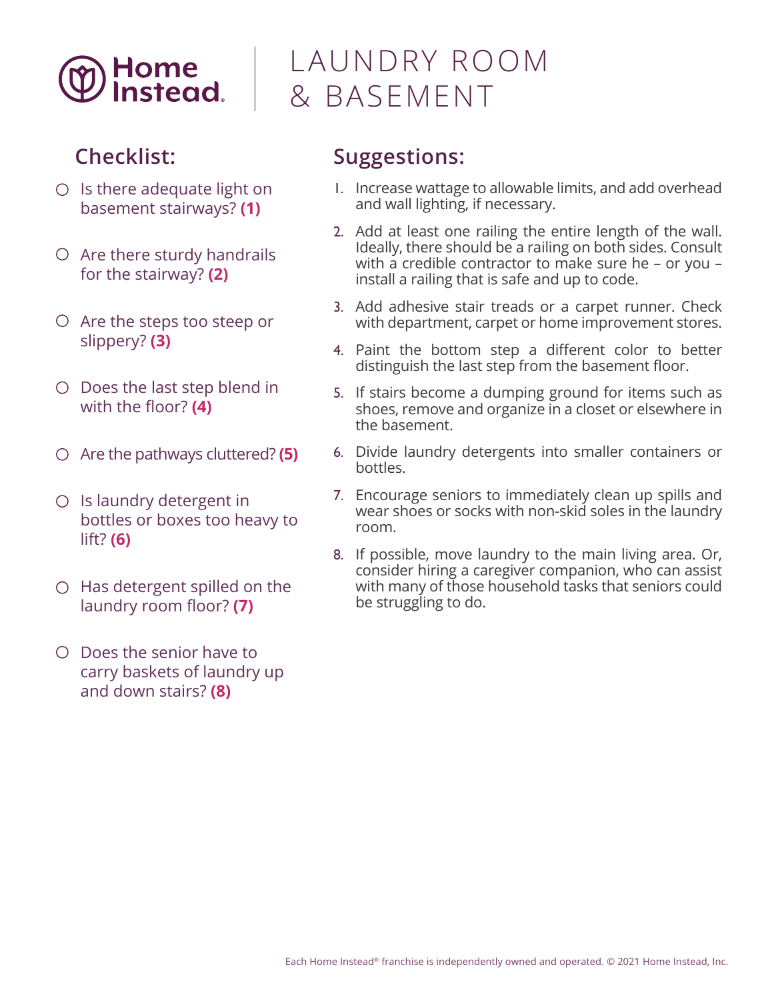

- $O$  Is there adequate light on basement stairways? **(1)**
- $\circ$  Are there sturdy handrails for the stairway? **(2)**
- $\circ$  Are the steps too steep or slippery? **(3)**
- $\circ$  Does the last step blend in with the floor? **(4)**
- Are the pathways cluttered? **(5)**
- $O$  Is laundry detergent in bottles or boxes too heavy to lift? **(6)**
- $\circ$  Has detergent spilled on the laundry room floor? **(7)**
- Does the senior have to carry baskets of laundry up and down stairs? **(8)**

### LAUNDRY ROOM & BASEMENT

- 1. Increase wattage to allowable limits, and add overhead and wall lighting, if necessary.
- 2. Add at least one railing the entire length of the wall. Ideally, there should be a railing on both sides. Consult with a credible contractor to make sure he – or you – install a railing that is safe and up to code.
- 3. Add adhesive stair treads or a carpet runner. Check with department, carpet or home improvement stores.
- 4. Paint the bottom step a different color to better distinguish the last step from the basement floor.
- 5. If stairs become a dumping ground for items such as shoes, remove and organize in a closet or elsewhere in the basement.
- 6. Divide laundry detergents into smaller containers or bottles.
- 7. Encourage seniors to immediately clean up spills and wear shoes or socks with non-skid soles in the laundry room.
- 8. If possible, move laundry to the main living area. Or, consider hiring a caregiver companion, who can assist with many of those household tasks that seniors could be struggling to do.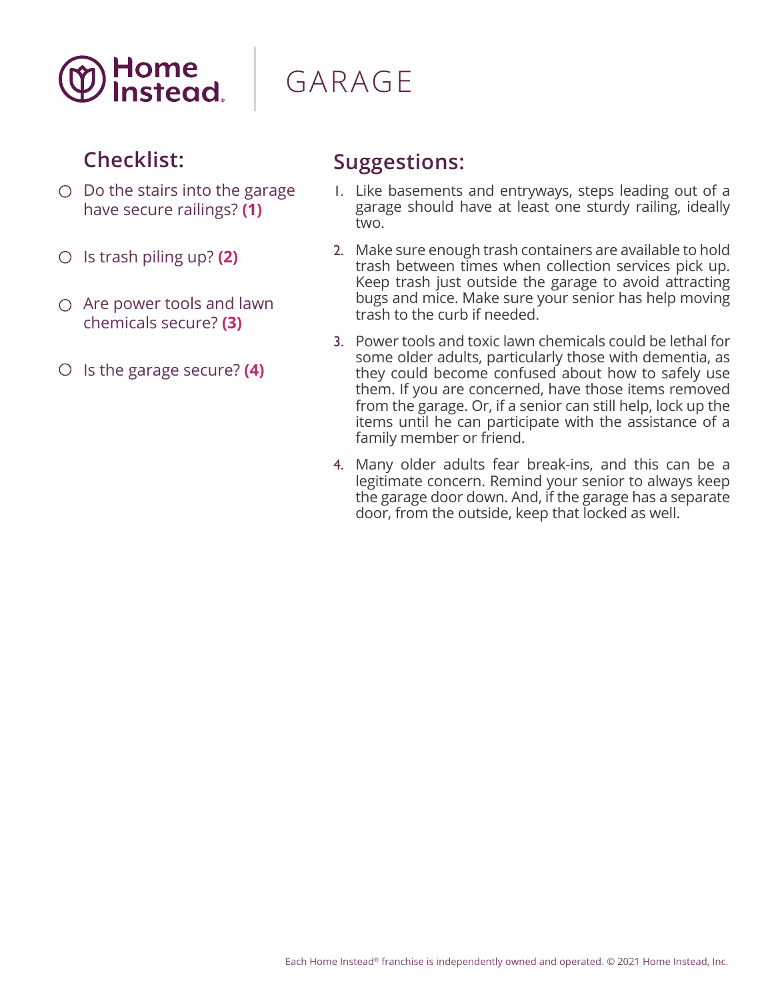

## GARAGE

#### **Checklist:**

- $O$  Do the stairs into the garage have secure railings? **(1)**
- Is trash piling up? **(2)**
- $\bigcirc$  Are power tools and lawn chemicals secure? **(3)**
- Is the garage secure? **(4)**

- 1. Like basements and entryways, steps leading out of a garage should have at least one sturdy railing, ideally two.
- 2. Make sure enough trash containers are available to hold trash between times when collection services pick up. Keep trash just outside the garage to avoid attracting bugs and mice. Make sure your senior has help moving trash to the curb if needed.
- 3. Power tools and toxic lawn chemicals could be lethal for some older adults, particularly those with dementia, as they could become confused about how to safely use them. If you are concerned, have those items removed from the garage. Or, if a senior can still help, lock up the items until he can participate with the assistance of a family member or friend.
- 4. Many older adults fear break-ins, and this can be a legitimate concern. Remind your senior to always keep the garage door down. And, if the garage has a separate door, from the outside, keep that locked as well.